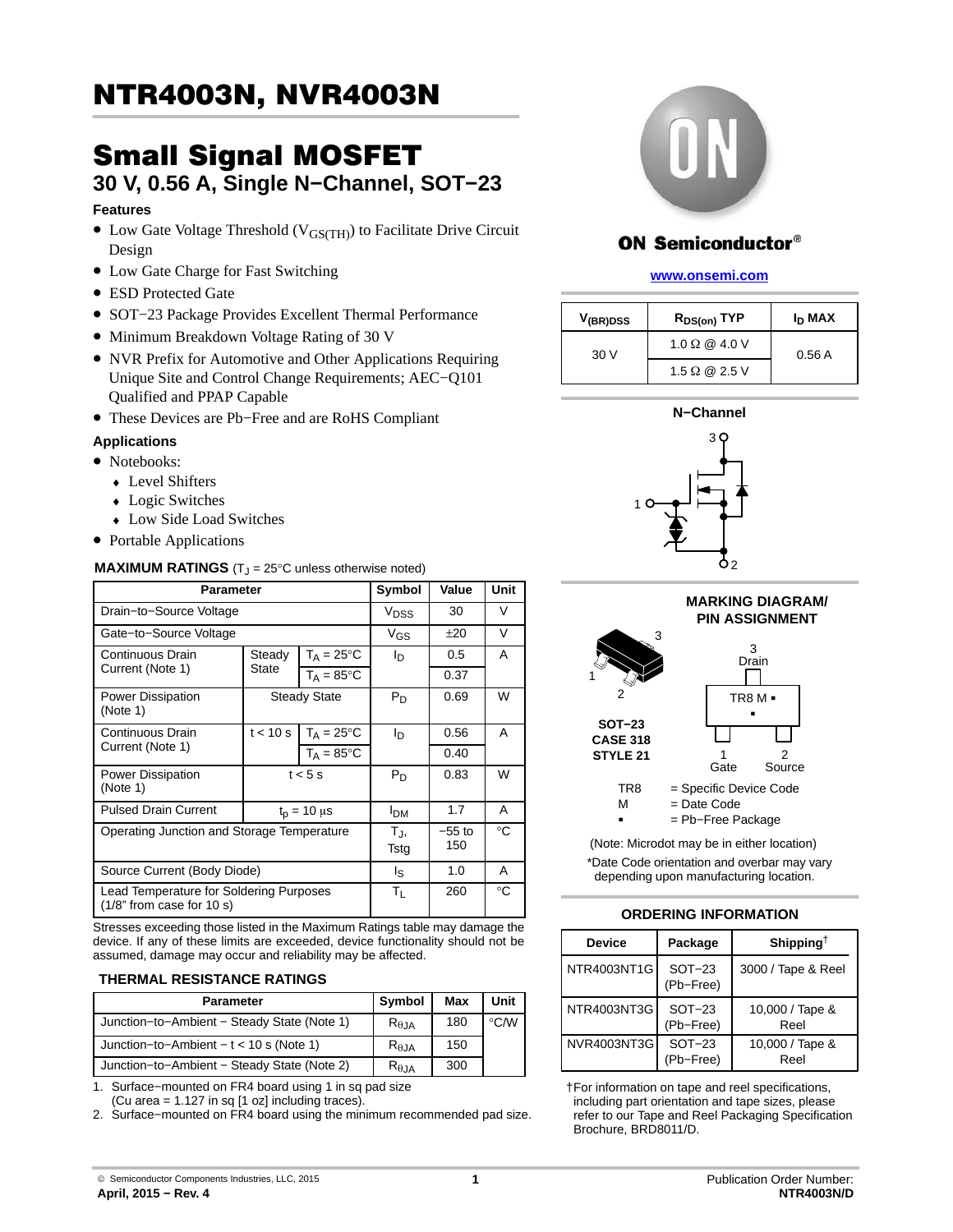## $\overline{\phantom{a}}$   $\overline{\phantom{a}}$   $\overline{\phantom{a}}$   $\overline{\phantom{a}}$   $\overline{\phantom{a}}$   $\overline{\phantom{a}}$   $\overline{\phantom{a}}$   $\overline{\phantom{a}}$   $\overline{\phantom{a}}$   $\overline{\phantom{a}}$   $\overline{\phantom{a}}$   $\overline{\phantom{a}}$   $\overline{\phantom{a}}$   $\overline{\phantom{a}}$   $\overline{\phantom{a}}$   $\overline{\phantom{a}}$   $\overline{\phantom{a}}$   $\overline{\phantom{a}}$   $\overline{\$

# 30 V, 0.56 A, Single N−Channel, SOT−23

#### **Features**

- Low Gate Voltage Threshold (V<sub>GS(TH)</sub>) to Facilitate Drive Circuit Design
- Low Gate Charge for Fast Switching
- ESD Protected Gate
- SOT−23 Package Provides Excellent Thermal Performance
- Minimum Breakdown Voltage Rating of 30 V
- NVR Prefix for Automotive and Other Applications Requiring Unique Site and Control Change Requirements; AEC−Q101 Qualified and PPAP Capable
- These Devices are Pb−Free and are RoHS Compliant

#### **Applications**

- Notebooks:
	- ♦ Level Shifters
	- Logic Switches
	- ♦ Low Side Load Switches
- Portable Applications

#### **MAXIMUM RATINGS** (T<sub>J</sub> = 25°C unless otherwise noted)

| <b>Parameter</b>                                                       | Symbol                 | Value                | Unit            |       |   |  |
|------------------------------------------------------------------------|------------------------|----------------------|-----------------|-------|---|--|
| Drain-to-Source Voltage                                                | <b>V<sub>DSS</sub></b> | 30                   | V               |       |   |  |
| Gate-to-Source Voltage                                                 |                        |                      | $V_{GS}$        | $+20$ | V |  |
| Continuous Drain                                                       | Steady                 | $T_A = 25^{\circ}C$  | ΙD              | 0.5   | A |  |
| Current (Note 1)                                                       | State                  | $T_A = 85$ °C        |                 | 0.37  |   |  |
| <b>Power Dissipation</b><br>(Note 1)                                   |                        | <b>Steady State</b>  | $P_D$           | 0.69  | W |  |
| Continuous Drain                                                       | t < 10 s               | $T_A = 25$ °C        | l <sub>D</sub>  | 0.56  | A |  |
| Current (Note 1)                                                       | $T_A = 85^{\circ}C$    |                      |                 | 0.40  |   |  |
| <b>Power Dissipation</b><br>(Note 1)                                   |                        | $t < 5$ s            | $P_D$           | 0.83  | W |  |
| <b>Pulsed Drain Current</b>                                            |                        | $t_{p}$ = 10 $\mu$ s | I <sub>DM</sub> | 1.7   | A |  |
| Operating Junction and Storage Temperature                             | TJ,<br>Tstg            | $-55$ to<br>150      | °C              |       |   |  |
| Source Current (Body Diode)                                            | ls.                    | 1.0                  | A               |       |   |  |
| Lead Temperature for Soldering Purposes<br>$(1/8"$ from case for 10 s) | Τı                     | 260                  | $^{\circ}C$     |       |   |  |

Stresses exceeding those listed in the Maximum Ratings table may damage the device. If any of these limits are exceeded, device functionality should not be assumed, damage may occur and reliability may be affected.

#### **THERMAL RESISTANCE RATINGS**

| Parameter                                   | Symbol          | Max | Unit               |
|---------------------------------------------|-----------------|-----|--------------------|
| Junction-to-Ambient - Steady State (Note 1) | $R_{\theta,JA}$ | 180 | $\rm ^{\circ}$ C/W |
| Junction-to-Ambient $- t < 10$ s (Note 1)   | $R_{\theta,JA}$ | 150 |                    |
| Junction-to-Ambient - Steady State (Note 2) | $R_{\theta,JA}$ | 300 |                    |

1. Surface−mounted on FR4 board using 1 in sq pad size

(Cu area = 1.127 in sq [1 oz] including traces).

2. Surface−mounted on FR4 board using the minimum recommended pad size.



## **ON Semiconductor®**

#### **[www.onsemi.com]( http://www.onsemi.com/)**

| V <sub>(BR)DSS</sub> | $R_{DS(on)}$ TYP     | I <sub>D</sub> MAX |  |
|----------------------|----------------------|--------------------|--|
| 30V                  | 1.0 $\Omega$ @ 4.0 V | 0.56A              |  |
|                      | 1.5 $\Omega$ @ 2.5 V |                    |  |







(Note: Microdot may be in either location) \*Date Code orientation and overbar may vary depending upon manufacturing location.

#### **ORDERING INFORMATION**

| <b>Device</b> | Package               | Shipping <sup>†</sup>   |
|---------------|-----------------------|-------------------------|
| NTR4003NT1G   | $SOT-23$<br>(Pb-Free) | 3000 / Tape & Reel      |
| NTR4003NT3G   | $SOT-23$<br>(Pb-Free) | 10,000 / Tape &<br>Reel |
| NVR4003NT3G   | $SOT-23$<br>(Pb-Free) | 10,000 / Tape &<br>Reel |

†For information on tape and reel specifications, including part orientation and tape sizes, please refer to our Tape and Reel Packaging Specification Brochure, BRD8011/D.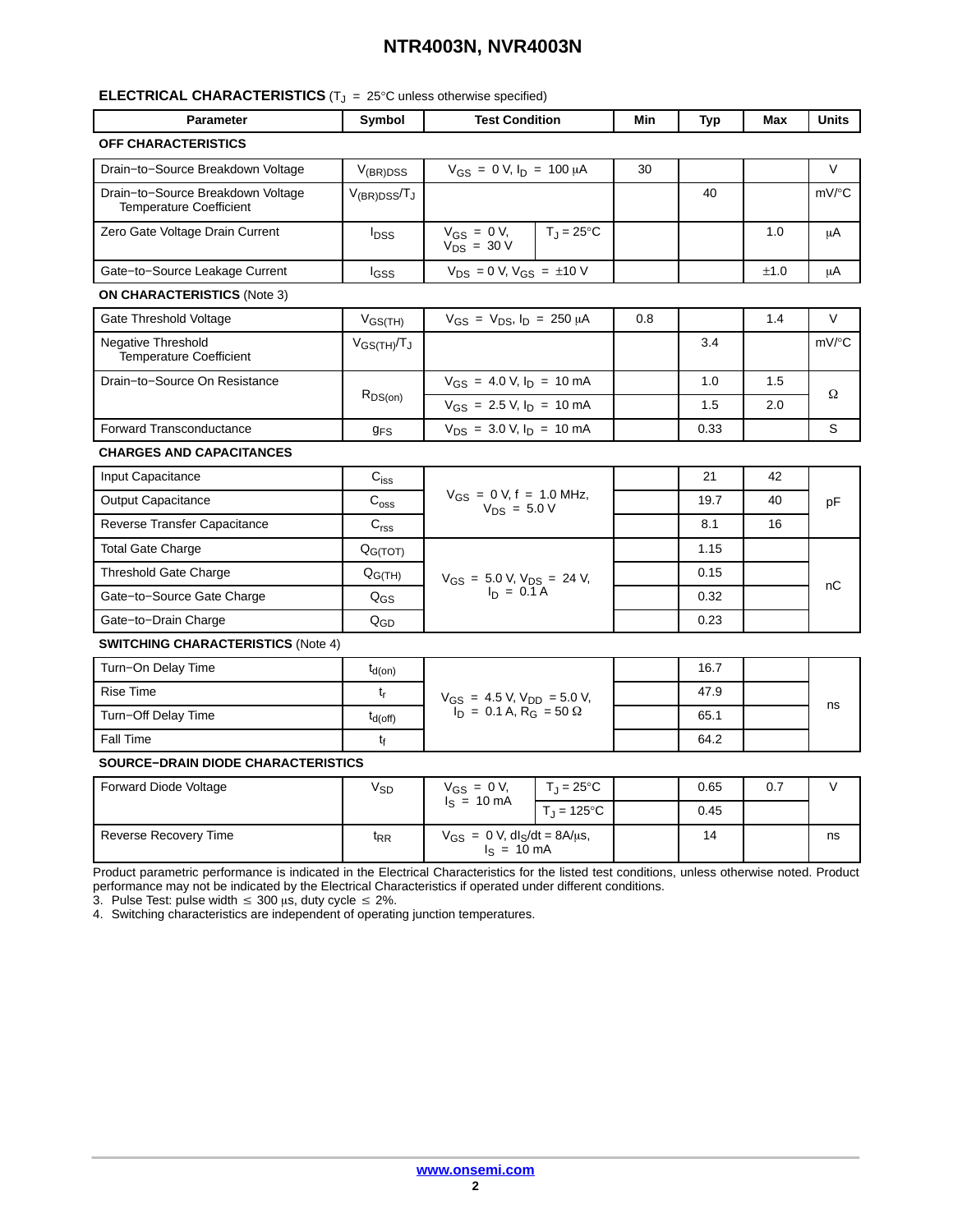## **NTR4003N, NVR4003N**

#### **ELECTRICAL CHARACTERISTICS** ( $T_J$  = 25°C unless otherwise specified)

| <b>Parameter</b>                                                    | Symbol                | <b>Test Condition</b>                                                              |                     | Min | <b>Typ</b> | Max  | Units    |
|---------------------------------------------------------------------|-----------------------|------------------------------------------------------------------------------------|---------------------|-----|------------|------|----------|
| <b>OFF CHARACTERISTICS</b>                                          |                       |                                                                                    |                     |     |            |      |          |
| Drain-to-Source Breakdown Voltage                                   | $V_{(BR)DSS}$         | $V_{GS} = 0 V, I_D = 100 \mu A$                                                    |                     | 30  |            |      | V        |
| Drain-to-Source Breakdown Voltage<br><b>Temperature Coefficient</b> | $V_{(BR)DSS}/T_J$     |                                                                                    |                     |     | 40         |      | $mV$ /°C |
| Zero Gate Voltage Drain Current                                     | $I_{DSS}$             | $V_{GS} = 0 V$ ,<br>$V_{DS}$ = 30 V                                                | $T_J = 25^{\circ}C$ |     |            | 1.0  | μA       |
| Gate-to-Source Leakage Current                                      | lgss                  | $V_{DS}$ = 0 V, $V_{GS}$ = $\pm$ 10 V                                              |                     |     |            | ±1.0 | μA       |
| <b>ON CHARACTERISTICS (Note 3)</b>                                  |                       |                                                                                    |                     |     |            |      |          |
| Gate Threshold Voltage                                              | $V_{GS(TH)}$          | $V_{GS} = V_{DS}$ , $I_D = 250 \mu A$                                              |                     | 0.8 |            | 1.4  | V        |
| <b>Negative Threshold</b><br>Temperature Coefficient                | $V_{GS(TH)}/T_J$      |                                                                                    |                     |     | 3.4        |      | mV/°C    |
| Drain-to-Source On Resistance                                       |                       | $V_{GS}$ = 4.0 V, $I_D$ = 10 mA                                                    |                     |     | 1.0        | 1.5  |          |
|                                                                     | $R_{DS(on)}$          | $V_{GS}$ = 2.5 V, $I_D$ = 10 mA                                                    |                     |     | 1.5        | 2.0  | Ω        |
| <b>Forward Transconductance</b>                                     | $g_{FS}$              | $V_{DS}$ = 3.0 V, $I_D$ = 10 mA                                                    |                     |     | 0.33       |      | S        |
| <b>CHARGES AND CAPACITANCES</b>                                     |                       |                                                                                    |                     |     |            |      |          |
| Input Capacitance                                                   | $C_{iss}$             | $V_{GS} = 0 V, f = 1.0 MHz,$<br>$V_{DS} = 5.0 V$                                   |                     |     | 21         | 42   | pF       |
| <b>Output Capacitance</b>                                           | C <sub>oss</sub>      |                                                                                    |                     |     | 19.7       | 40   |          |
| Reverse Transfer Capacitance                                        | C <sub>rss</sub>      |                                                                                    |                     |     | 8.1        | 16   |          |
| <b>Total Gate Charge</b>                                            | Q <sub>G(TOT)</sub>   |                                                                                    |                     |     | 1.15       |      |          |
| <b>Threshold Gate Charge</b>                                        | $Q_{G(TH)}$           | $V_{GS} = 5.0 V, V_{DS} = 24 V,$<br>$I_D = 0.1 A$                                  |                     |     | 0.15       |      |          |
| Gate-to-Source Gate Charge                                          | $Q_{GS}$              |                                                                                    |                     |     | 0.32       |      | пC       |
| Gate-to-Drain Charge                                                | $Q_{GD}$              |                                                                                    |                     |     | 0.23       |      |          |
| <b>SWITCHING CHARACTERISTICS (Note 4)</b>                           |                       |                                                                                    |                     |     |            |      |          |
| Turn-On Delay Time                                                  | $t_{d(on)}$           |                                                                                    |                     |     | 16.7       |      |          |
| Rise Time                                                           | $t_{r}$               | $V_{GS}$ = 4.5 V, $V_{DD}$ = 5.0 V,<br>$I_D$ = 0.1 A, R <sub>G</sub> = 50 $\Omega$ |                     |     | 47.9       |      | ns       |
| Turn-Off Delay Time                                                 | $t_{d(off)}$          |                                                                                    |                     |     | 65.1       |      |          |
| <b>Fall Time</b>                                                    | $t_{\rm f}$           |                                                                                    |                     |     | 64.2       |      |          |
| <b>SOURCE-DRAIN DIODE CHARACTERISTICS</b>                           |                       |                                                                                    |                     |     |            |      |          |
| <b>Forward Diode Voltage</b>                                        | <b>V<sub>SD</sub></b> | $V_{GS} = 0 V$ ,<br>$I_S = 10 \text{ mA}$                                          | $T_J = 25$ °C       |     | 0.65       | 0.7  | $\vee$   |
|                                                                     |                       |                                                                                    | $T_J = 125$ °C      |     | 0.45       |      |          |

|                       |                 | 10 mA<br>$=$<br>ıс                                                                      | $125^{\circ}$ C<br>$=$ | 0.45 |    |
|-----------------------|-----------------|-----------------------------------------------------------------------------------------|------------------------|------|----|
| Reverse Recovery Time | <sup>I</sup> RR | $V_{GS} = 0$ V, dl <sub>S</sub> /dt = 8A/ $\mu$ s,<br>$= 10 \text{ mA}$<br>$\mathsf{I}$ |                        | 14   | ns |

Product parametric performance is indicated in the Electrical Characteristics for the listed test conditions, unless otherwise noted. Product performance may not be indicated by the Electrical Characteristics if operated under different conditions.

3. Pulse Test: pulse width  $\leq 300$   $\mu$ s, duty cycle  $\leq 2\%$ .

4. Switching characteristics are independent of operating junction temperatures.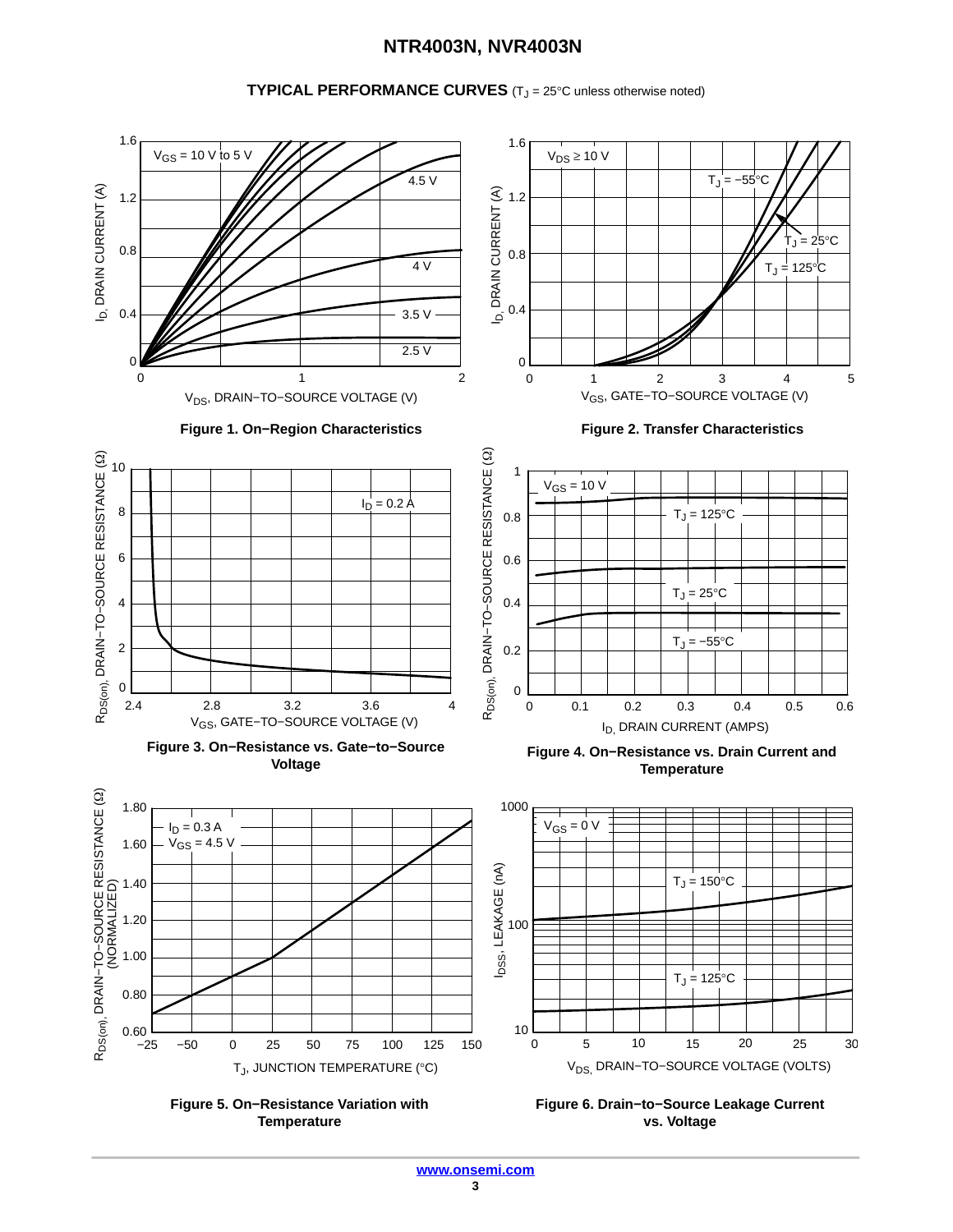### **NTR4003N, NVR4003N**

#### **TYPICAL PERFORMANCE CURVES** (T<sub>J</sub> = 25°C unless otherwise noted)



**Temperature**

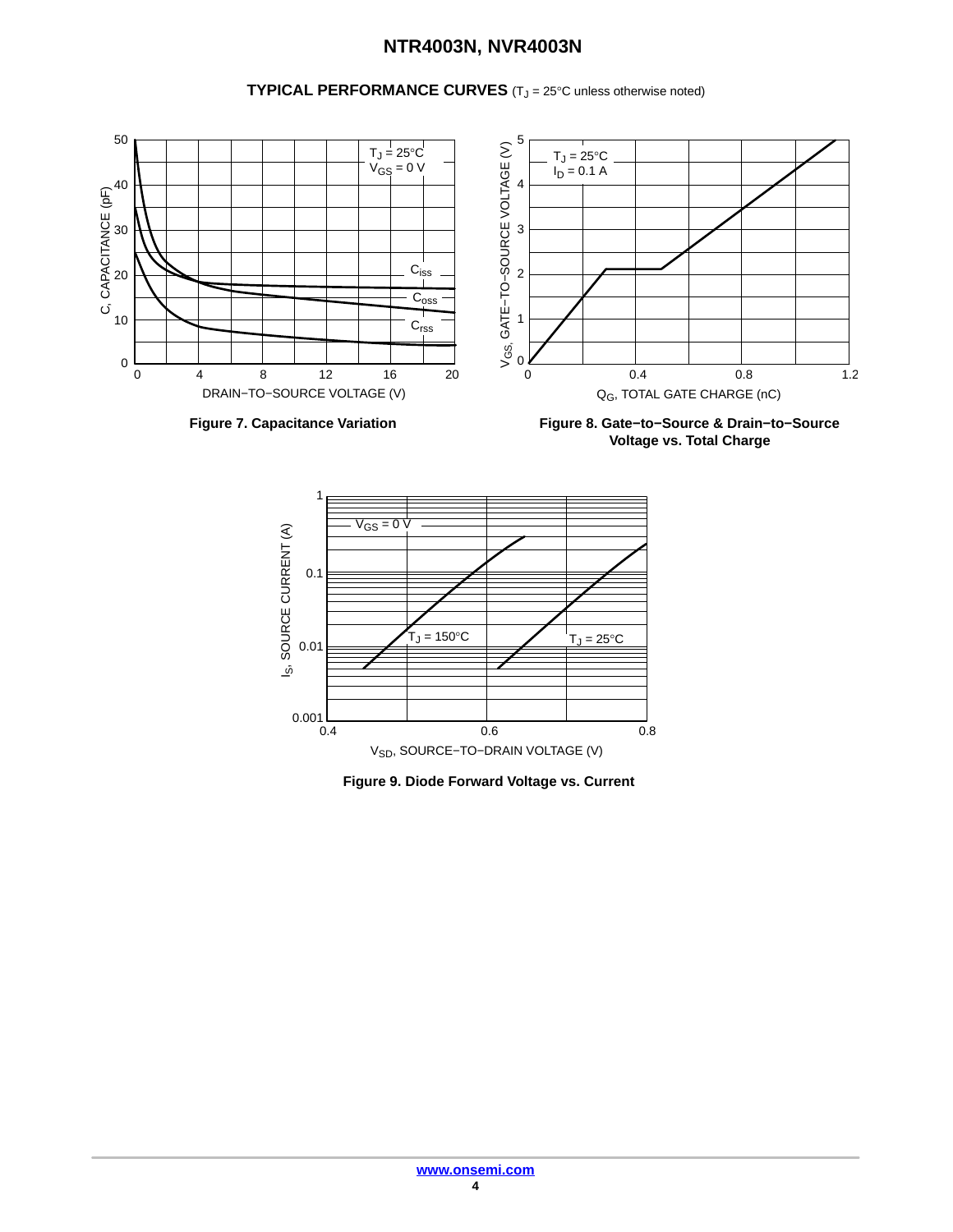## **NTR4003N, NVR4003N**

**TYPICAL PERFORMANCE CURVES** (T<sub>J</sub> = 25°C unless otherwise noted)



**Voltage vs. Total Charge**



**Figure 9. Diode Forward Voltage vs. Current**